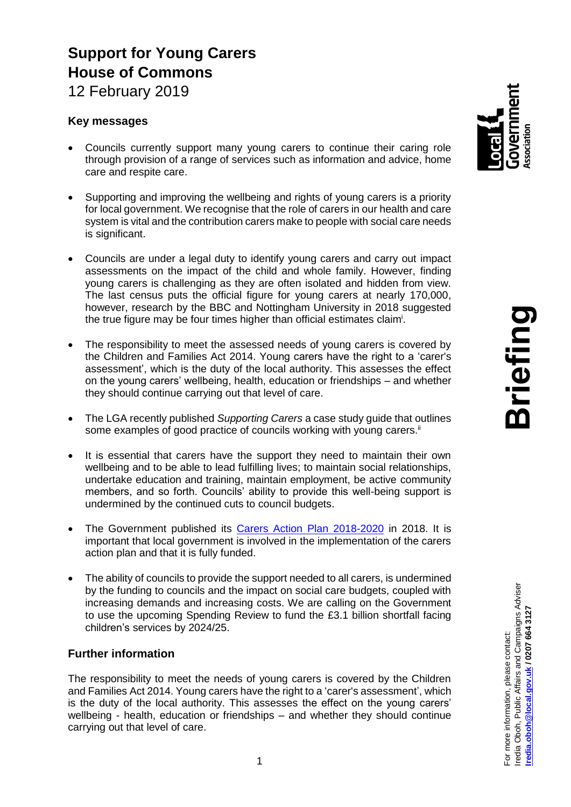# **Support for Young Carers House of Commons**

12 February 2019

## **Key messages**

- Councils currently support many young carers to continue their caring role through provision of a range of services such as information and advice, home care and respite care.
- Supporting and improving the wellbeing and rights of young carers is a priority for local government. We recognise that the role of carers in our health and care system is vital and the contribution carers make to people with social care needs is significant.
- Councils are under a legal duty to identify young carers and carry out impact assessments on the impact of the child and whole family. However, finding young carers is challenging as they are often isolated and hidden from view. The last census puts the official figure for young carers at nearly 170,000, however, research by the BBC and Nottingham University in 2018 suggested the true figure may be four times higher than official estimates claim<sup>i</sup>.
- The responsibility to meet the assessed needs of young carers is covered by the Children and Families Act 2014. Young carers have the right to a 'carer's assessment', which is the duty of the local authority. This assesses the effect on the young carers' wellbeing, health, education or friendships – and whether they should continue carrying out that level of care.
- The LGA recently published *Supporting Carers* a case study guide that outlines some examples of good practice of councils working with young carers.<sup>ii</sup>
- It is essential that carers have the support they need to maintain their own wellbeing and to be able to lead fulfilling lives; to maintain social relationships, undertake education and training, maintain employment, be active community members, and so forth. Councils' ability to provide this well-being support is undermined by the continued cuts to council budgets.
- The Government published its [Carers Action Plan 2018-2020](https://www.gov.uk/government/publications/carers-action-plan-2018-to-2020) in 2018. It is important that local government is involved in the implementation of the carers action plan and that it is fully funded.
- The ability of councils to provide the support needed to all carers, is undermined by the funding to councils and the impact on social care budgets, coupled with increasing demands and increasing costs. We are calling on the Government to use the upcoming Spending Review to fund the £3.1 billion shortfall facing children's services by 2024/25.

## **Further information**

The responsibility to meet the needs of young carers is covered by the Children and Families Act 2014. Young carers have the right to a 'carer's assessment', which is the duty of the local authority. This assesses the effect on the young carers' wellbeing - health, education or friendships – and whether they should continue carrying out that level of care.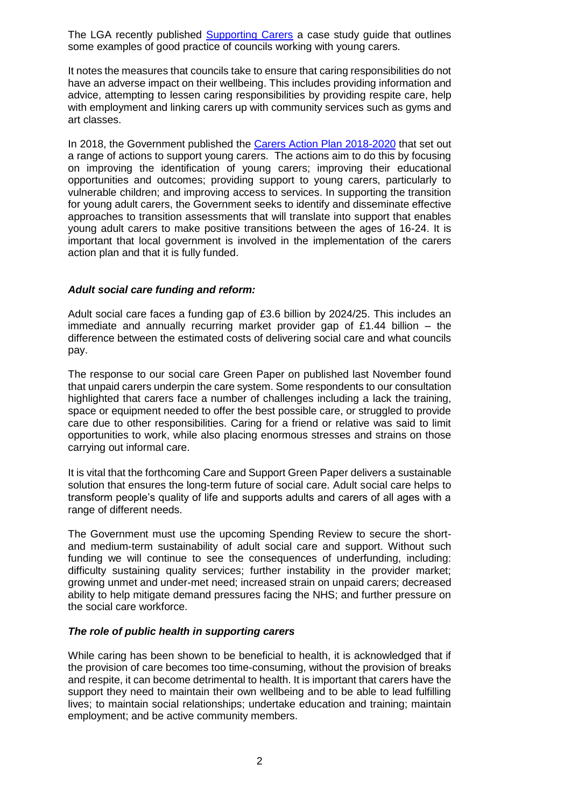The LGA recently published [Supporting Carers](https://local.gov.uk/supporting-carers-guidance-and-case-studies) a case study guide that outlines some examples of good practice of councils working with young carers.

It notes the measures that councils take to ensure that caring responsibilities do not have an adverse impact on their wellbeing. This includes providing information and advice, attempting to lessen caring responsibilities by providing respite care, help with employment and linking carers up with community services such as gyms and art classes.

In 2018, the Government published the [Carers Action Plan 2018-2020](https://www.gov.uk/government/publications/carers-action-plan-2018-to-2020) that set out a range of actions to support young carers. The actions aim to do this by focusing on improving the identification of young carers; improving their educational opportunities and outcomes; providing support to young carers, particularly to vulnerable children; and improving access to services. In supporting the transition for young adult carers, the Government seeks to identify and disseminate effective approaches to transition assessments that will translate into support that enables young adult carers to make positive transitions between the ages of 16-24. It is important that local government is involved in the implementation of the carers action plan and that it is fully funded.

#### *Adult social care funding and reform:*

Adult social care faces a funding gap of £3.6 billion by 2024/25. This includes an immediate and annually recurring market provider gap of  $£1.44$  billion  $-$  the difference between the estimated costs of delivering social care and what councils pay.

The response to our social care Green Paper on published last November found that unpaid carers underpin the care system. Some respondents to our consultation highlighted that carers face a number of challenges including a lack the training, space or equipment needed to offer the best possible care, or struggled to provide care due to other responsibilities. Caring for a friend or relative was said to limit opportunities to work, while also placing enormous stresses and strains on those carrying out informal care.

It is vital that the forthcoming Care and Support Green Paper delivers a sustainable solution that ensures the long-term future of social care. Adult social care helps to transform people's quality of life and supports adults and carers of all ages with a range of different needs.

The Government must use the upcoming Spending Review to secure the shortand medium-term sustainability of adult social care and support. Without such funding we will continue to see the consequences of underfunding, including: difficulty sustaining quality services; further instability in the provider market; growing unmet and under-met need; increased strain on unpaid carers; decreased ability to help mitigate demand pressures facing the NHS; and further pressure on the social care workforce.

#### *The role of public health in supporting carers*

While caring has been shown to be beneficial to health, it is acknowledged that if the provision of care becomes too time-consuming, without the provision of breaks and respite, it can become detrimental to health. It is important that carers have the support they need to maintain their own wellbeing and to be able to lead fulfilling lives; to maintain social relationships; undertake education and training; maintain employment; and be active community members.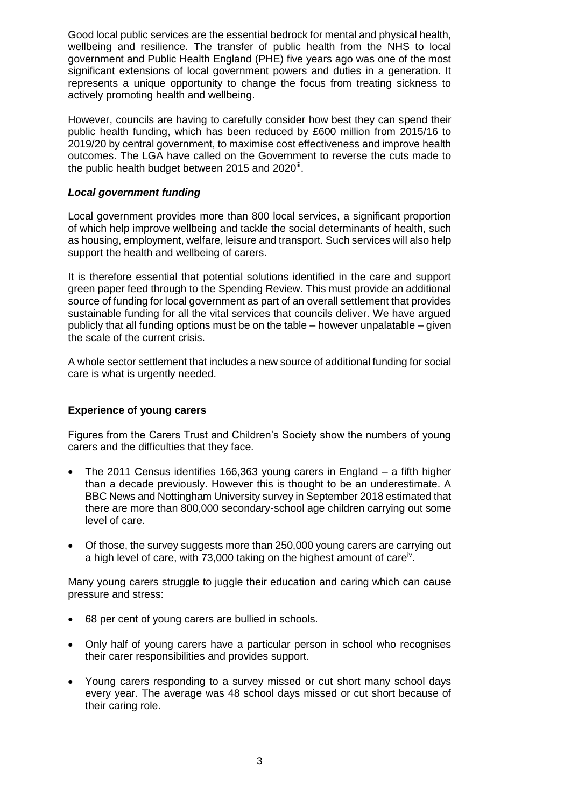Good local public services are the essential bedrock for mental and physical health, wellbeing and resilience. The transfer of public health from the NHS to local government and Public Health England (PHE) five years ago was one of the most significant extensions of local government powers and duties in a generation. It represents a unique opportunity to change the focus from treating sickness to actively promoting health and wellbeing.

However, councils are having to carefully consider how best they can spend their public health funding, which has been reduced by £600 million from 2015/16 to 2019/20 by central government, to maximise cost effectiveness and improve health outcomes. The LGA have called on the Government to reverse the cuts made to the public health budget between 2015 and 2020<sup>ii</sup>.

### *Local government funding*

Local government provides more than 800 local services, a significant proportion of which help improve wellbeing and tackle the social determinants of health, such as housing, employment, welfare, leisure and transport. Such services will also help support the health and wellbeing of carers.

It is therefore essential that potential solutions identified in the care and support green paper feed through to the Spending Review. This must provide an additional source of funding for local government as part of an overall settlement that provides sustainable funding for all the vital services that councils deliver. We have argued publicly that all funding options must be on the table – however unpalatable – given the scale of the current crisis.

A whole sector settlement that includes a new source of additional funding for social care is what is urgently needed.

## **Experience of young carers**

Figures from the Carers Trust and Children's Society show the numbers of young carers and the difficulties that they face.

- The 2011 Census identifies 166,363 young carers in England a fifth higher than a decade previously. However this is thought to be an underestimate. A BBC News and Nottingham University survey in September 2018 estimated that there are more than 800,000 secondary-school age children carrying out some level of care.
- Of those, the survey suggests more than 250,000 young carers are carrying out a high level of care, with 73,000 taking on the highest amount of care<sup>iv</sup>.

Many young carers struggle to juggle their education and caring which can cause pressure and stress:

- 68 per cent of young carers are bullied in schools.
- Only half of young carers have a particular person in school who recognises their carer responsibilities and provides support.
- Young carers responding to a survey missed or cut short many school days every year. The average was 48 school days missed or cut short because of their caring role.